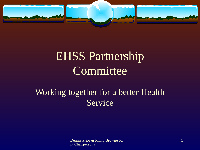

# EHSS Partnership **Committee**

#### Working together for a better Health Service

Dennis Prior & Philip Browne Joi nt Chairpersons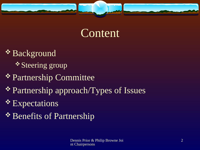

### Content

- \* Background \* Steering group
- Partnership Committee
- Partnership approach/Types of Issues
- \* Expectations
- \* Benefits of Partnership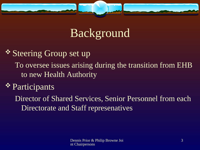

## Background

<u>**<sup>❖</sup> Steering Group set up**</u> To oversee issues arising during the transition from EHB to new Health Authority

#### **\*** Participants

Director of Shared Services, Senior Personnel from each Directorate and Staff represenatives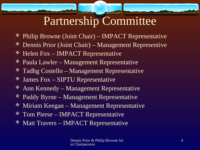# Partnership Committee

- Philip Browne (Joint Chair) IMPACT Representative
- Dennis Prior (Joint Chair) Management Representive
- Helen Fox IMPACT Representative
- Paula Lawler Management Representative
- **\*** Tadhg Costello Management Representative
- James Fox SIPTU Representative
- Ann Kennedy Management Representative
- Paddy Byrne Management Representative
- **\*** Miriam Keegan Management Representative
- Tom Pierse IMPACT Representative
- Matt Travers IMPACT Representative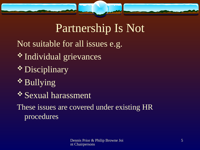

## Partnership Is Not

- Not suitable for all issues e.g.
- \* Individual grievances
- \* Disciplinary
- *❖* Bullying
- Sexual harassment

These issues are covered under existing HR procedures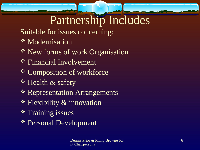## Partnership Includes

- Suitable for issues concerning:
- Modernisation
- \* New forms of work Organisation
- Financial Involvement
- \* Composition of workforce
- \* Health & safety
- \* Representation Arrangements
- **\*** Flexibility & innovation
- **\*** Training issues
- Personal Development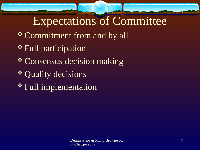## Expectations of Committee

- \* Commitment from and by all
- \* Full participation
- \* Consensus decision making
- \* Quality decisions
- Full implementation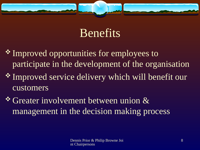

## **Benefits**

- Improved opportunities for employees to participate in the development of the organisation
- Improved service delivery which will benefit our customers
- Greater involvement between union & management in the decision making process